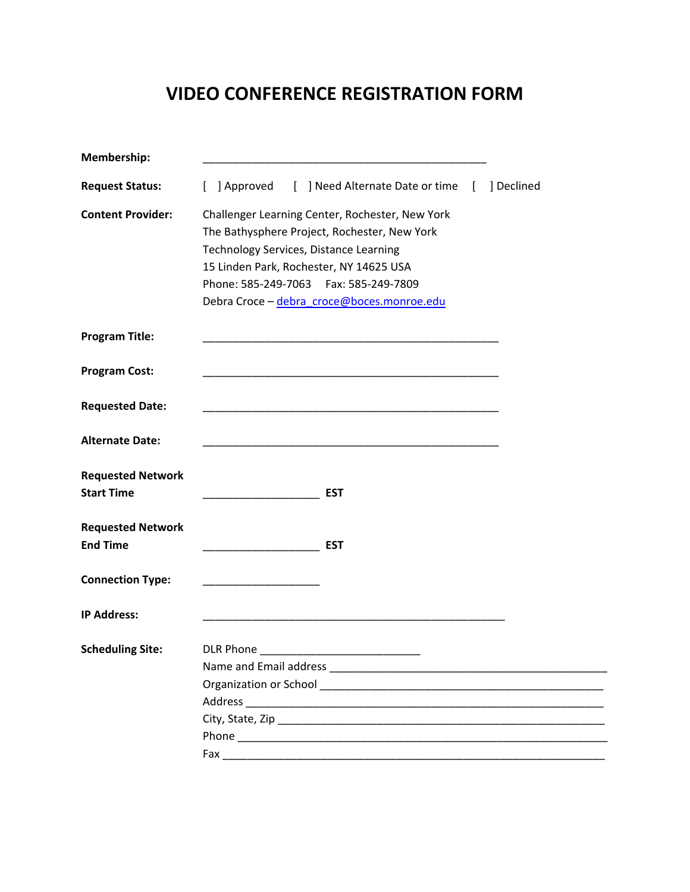## **VIDEO CONFERENCE REGISTRATION FORM**

| Membership:                                   |                                                                                                                                                                                                                                                                                |
|-----------------------------------------------|--------------------------------------------------------------------------------------------------------------------------------------------------------------------------------------------------------------------------------------------------------------------------------|
| <b>Request Status:</b>                        | ] Approved [ ] Need Alternate Date or time [<br>] Declined<br>$\mathbf{L}$                                                                                                                                                                                                     |
| <b>Content Provider:</b>                      | Challenger Learning Center, Rochester, New York<br>The Bathysphere Project, Rochester, New York<br>Technology Services, Distance Learning<br>15 Linden Park, Rochester, NY 14625 USA<br>Phone: 585-249-7063    Fax: 585-249-7809<br>Debra Croce - debra_croce@boces.monroe.edu |
| <b>Program Title:</b>                         | <u> 1989 - Johann Stein, mars an deutscher Stein und der Stein und der Stein und der Stein und der Stein und der</u>                                                                                                                                                           |
| <b>Program Cost:</b>                          |                                                                                                                                                                                                                                                                                |
| <b>Requested Date:</b>                        |                                                                                                                                                                                                                                                                                |
| <b>Alternate Date:</b>                        |                                                                                                                                                                                                                                                                                |
| <b>Requested Network</b><br><b>Start Time</b> | <b>EST</b>                                                                                                                                                                                                                                                                     |
| <b>Requested Network</b><br><b>End Time</b>   | <b>EST</b><br><u> 1990 - Johann John Stone, markin</u>                                                                                                                                                                                                                         |
| <b>Connection Type:</b>                       |                                                                                                                                                                                                                                                                                |
| <b>IP Address:</b>                            |                                                                                                                                                                                                                                                                                |
| <b>Scheduling Site:</b>                       | <b>DLR Phone</b><br>Name and Email address Name and Email and Email and Email and Email and Email and Email and Email and Email and Email and Email and Email and Email and Email and Email and Email and Email and Email and Email and Email and                              |
|                                               |                                                                                                                                                                                                                                                                                |
|                                               |                                                                                                                                                                                                                                                                                |
|                                               |                                                                                                                                                                                                                                                                                |
|                                               |                                                                                                                                                                                                                                                                                |
|                                               |                                                                                                                                                                                                                                                                                |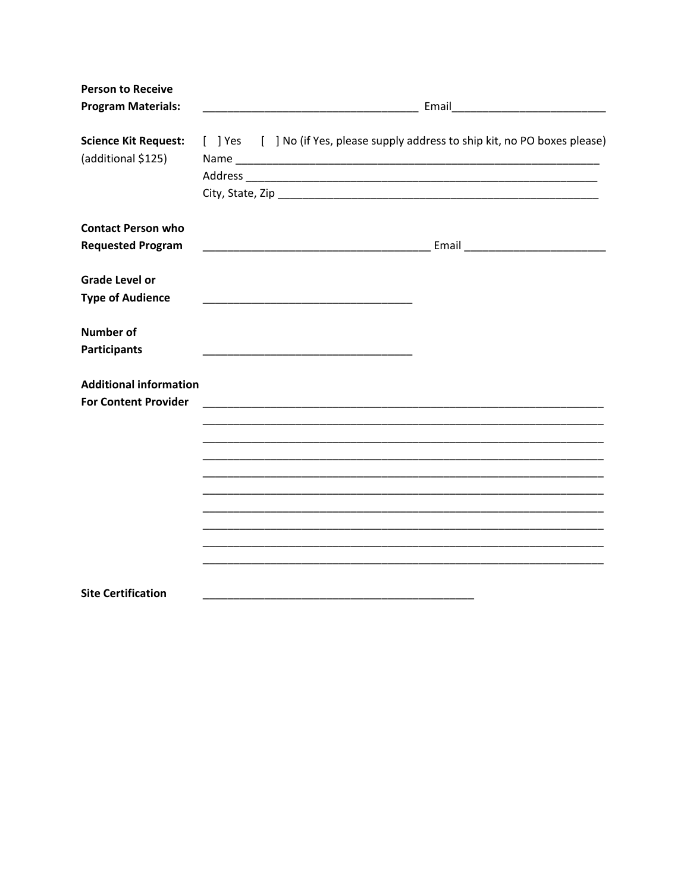| <b>Person to Receive</b><br><b>Program Materials:</b>        |                                                                                                                        |
|--------------------------------------------------------------|------------------------------------------------------------------------------------------------------------------------|
| <b>Science Kit Request:</b><br>(additional \$125)            | [ ] Yes [ ] No (if Yes, please supply address to ship kit, no PO boxes please)                                         |
| <b>Contact Person who</b><br><b>Requested Program</b>        |                                                                                                                        |
| <b>Grade Level or</b><br><b>Type of Audience</b>             |                                                                                                                        |
| <b>Number of</b><br><b>Participants</b>                      | <u> 1990 - Johann John Stone, markin film ar yn y sefydlu yn y sefydlu yn y sefydlu y sefydlu yn y sefydlu y sefyd</u> |
| <b>Additional information</b><br><b>For Content Provider</b> |                                                                                                                        |
|                                                              |                                                                                                                        |
|                                                              | <u> 1989 - Johann John Harry Harry Harry Harry Harry Harry Harry Harry Harry Harry Harry Harry Harry Harry Harry</u>   |
|                                                              |                                                                                                                        |
| <b>Site Certification</b>                                    |                                                                                                                        |